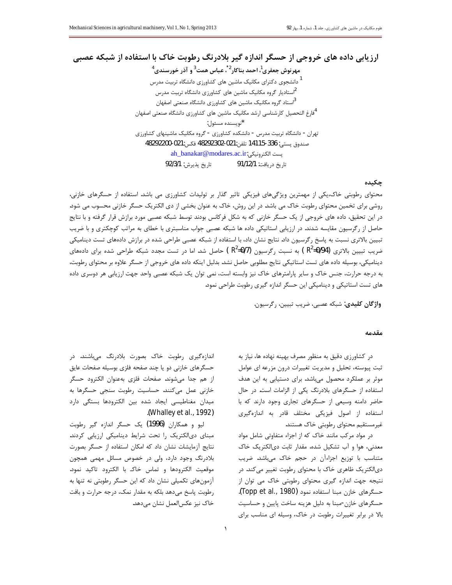ارزیابی داده های خروجی از حسگر اندازه گیر بلادرنگ رطوبت خاک با استفاده از شبکه عصبی مهرنوش جعفري ً، احمد بناكار<sup>2</sup>ً، عباس همت<sup>3</sup> و آذر خورسندي<sup>4</sup> <sup>1</sup> دانشجوی دکترای مکانیک ماشین های کشاورزی دانشگاه تربیت مدرس ۔<br><sup>2</sup>استادیار گروہ مکانیک ماشین های کشاورزی دانشگاه تربیت مدرس <sup>3</sup>استاد گروه مکانیک ماشین های کشاورزی دانشگاه صنعتی اصفهان <sup>4</sup>فارغ التحصيل كارشناسى ارشد مكانيك ماشين هاى كشاورزى دانشگاه صنعتى اصفهان \*نويسنده مسئول: تهران - دانشگاه تربیت مدرس - دانشکده کشاورزی - گروه مکانیک ماشینهای کشاورزی صندوق پستى: 336-14115 تلفن:021-48292302 فكس:021-48292200 ah\_banakar@modares.ac.ir:پست الكترونيكى تاريخ پذيرش: 92/3/1 تاريخ دريافت: 91/12/1

## چکیده

محتوای رطوبتی خاک،یکی از مهمترین ویژگیهای فیزیکی تاثیر گذار بر تولیدات کشاورزی می باشد. استفاده از حسگرهای خازنی، روشی برای تخمین محتوای رطوبت خاک می باشد. در این روش، خاک به عنوان بخشی از دی الکتریک حسگر خازنی محسوب می شود. در این تحقیق، داده های خروجی از یک حسگر خازنی که به شکل فرکانس بودند توسط شبکه عصبی مورد برازش قرار گرفته و با نتایج حاصل از رگرسیون مقایسه شدند. در ارزیابی استاتیکی داده ها شبکه عصبی جواب مناسبتری با خطای به مراتب کوچکتری و با ضریب تبیین بالاتری نسبت به پاسخ رگرسیون داد. نتایج نشان داد، با استفاده از شبکه عصبی طراحی شده در برازش دادههای تست دینامیکی ضریب تبیین بالاتری (R $^2$ =0/94) به نسبت رگرسیون (R $^2$ =0/7) حاصل شد. اما در تست مجدد شبکه طراحی شده برای دادههای دینامیکی، بوسیله داده های تست استاتیکی نتایج مطلوبی حاصل نشد. بدلیل اینکه داده های خروجی از حسگر علاوه بر محتوای رطوبت، به درجه حرارت، جنس خاک و سایر پارامترهای خاک نیز وابسته است، نمی توان یک شبکه عصبی واحد جهت ارزیابی هر دوسری داده های تست استاتیکی و دینامیکی این حسگر اندازه گیری رطوبت طراحی نمود.

واژگان كليدى: شبكه عصبى، ضريب تبيين، رگرسيون.

#### مقدمه

در کشاورزی دقیق به منظور مصرف بهینه نهاده ها، نیاز به ثبت پیوسته، تحلیل و مدیریت تغییرات درون مزرعه ای عوامل موثر بر عملکرد محصول میباشد. برای دستیابی به این هدف استفاده از حسگرهای بلادرنگ یکی از الزامات است. در حال حاضر دامنه وسیعی از حسگرهای تجاری وجود دارند که با استفاده از اصول فیزیکی مختلف قادر به اندازهگیری غیرمستقیم محتوای رطوبتی خاک هستند.

در مواد مرکب مانند خاک که از اجزاء متفاوتی شامل مواد معدنی، هوا و آب تشکیل شده، مقدار ثابت دیالکتریک خاک متناسب با توزیع اجزاءآن در حجم خاک میباشد. ضریب دیالکتریک ظاهری خاک با محتوای رطوبت تغییر میکند. در نتیجه جهت اندازه گیری محتوای رطوبتی خاک می توان از حسگرهای خازن مبنا استفاده نمود (Topp et al., 1980). حسگرهای خازن-مبنا به دلیل هزینه ساخت پایین و حساسیت بالا در برابر تغییرات رطوبت در خاک، وسیله ای مناسب برای

اندازهگیری رطوبت خاک بصورت بلادرنگ میباشند. در حسگرهای خازنی دو یا چند صفحه فلزی بوسیله صفحات عایق از هم جدا میشوند. صفحات فلزی بهعنوان الکترود حسگر خازنی عمل میکنند. حساسیت رطوبت سنجی حسگرها به میدان مغناطیسی ایجاد شده بین الکترودها بستگی دارد (Whalley et al., 1992).

ليو و همكاران (1996) يک حسگر اندازه گير رطوبت مبنای دیالکتریک را تحت شرایط دینامیکی ارزیابی کردند. نتایج آزمایشات نشان داد که امکان استفاده از حسگر بصورت بلادرنگ وجود دارد، ولی در خصوص مسائل مهمی همچون موقعیت الکترودها و تماس خاک با الکترود تاکید نمود. آزمونهای تکمیلی نشان داد که این حسگر رطوبتی نه تنها به رطوبت پاسخ میدهد بلکه به مقدار نمک، درجه حرارت و بافت خاک نیز عکسالعمل نشان میدهد.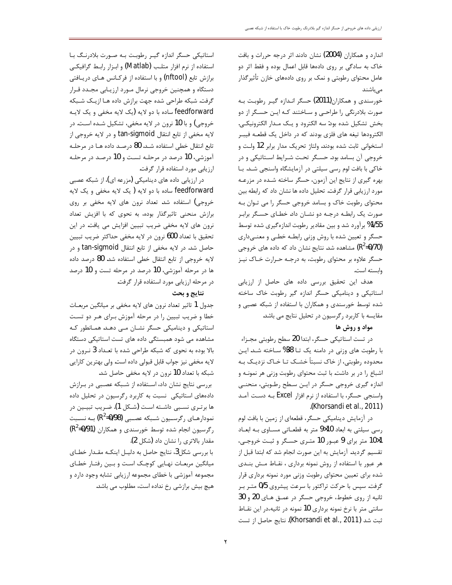اندارد و همكاران (2004) نشان دادند اثر درجه حررات و بافت خاک به سادگی بر روی دادهها قابل اعمال بوده و فقط اثر دو عامل محتوای رطوبتی و نمک بر روی دادههای خازن تأثیرگذار مے باشند

خورسندی و همکاران(2011) حسگر انـدازه گیـر رطوبـت بـه صورت بلادرنگی را طراحی و سـاختند کـه ايـن حسـگر از دو بخش تشكيل شده بود: سه الكترود و يـك مـدار الكترونيكـي. الکترودها تیغه های فلزی بودند که در داخل یک قطعـه فیبـر استخوانی ثابت شده بودند. ولتاژ تحریک مدار برابر 12 ولت و خروجی آن بسامد بود. حسگر تحت شـرایط اسـتاتیکی و در خاکی با بافت لوم رسی سیلتی در آزمایشگاه واسنجی شـد. بـا بهره گیری از نتایج این آزمون، حسگر ساخته شـده در مزرعـه مورد ارزیابی قرار گرفت. تحلیل داده ها نشان داد که رابطه بین محتوای رطوبت خاک و بسامد خروجی حسگر را می تـوان بـه صورت یک رابطـه درجـه دو نشـان داد. خطـای حسـگر برابـر 1/55% برآورد شد و بین مقادیر رطوبت اندازهگیری شده توسط حسگر و تعیین شده با روش وزنی رابطـه خطـی و معنـی۱داری (R<sup>2</sup>=0/70) مشاهده شد. نتایج نشان داد که داده های خروجی حسگر علاوه بر محتوای رطوبت، به درجـه حـرارت خـاک نیـز وابسته است.

هدف این تحقیق بررسی داده های حاصل از ارزیابی استاتیکی و دینامیکی حسگر اندازه گیر رطوبت خاک ساخته شده توسط خورسندی و همکاران با استفاده از شبکه عصبی و مقایسه با کاربرد رگرسیون در تحلیل نتایج می باشد.

### مواد و روش ها

در تست استاتیکی حسگر، ابتدا 20 سطح رطوبتی مجـزاء با رطوبت های وزنی در دامنه یک تـا 38% سـاخته شـد. ایـن محدوده رطوبتی، از خاک نسبتاً خشـک تــا خــاک نزديــک بــه اشباع را در بر داشت. با ثبت محتوای رطوبت وزنی هر نمونـه و اندازه گیری خروجی حسگر در ایـن سـطح رطـوبتی، منحنـی واسنجی حسگر، با استفاده از نرم افزار Excel بـه دسـت آمـد .(Khorsandi et al., 2011)

در آزمایش دینامیکی حسگر، قطعهای از زمین با بافت لوم رسی سیلتی به ابعاد 10×9 متر به قطعـاتی مسـاوی بـه ابعـاد 1%1 متر برای 9 عبـور 10 متـری حسـگر و ثبـت خروجـی، تقسیم گردید. آزمایش به این صورت انجام شد که ابتدا قبل از هر عبور با استفاده از روش نمونه برداری ، نقـاط مـش بنــدی شده برای تعیین محتوای رطوبت وزنی مورد نمونه برداری قرار گرفت. سپس با حرکت تراکتور با سرعت پیشروی 0/5 متـر بـر ثانیه از روی خطوط، خروجی حسگر در عمـق هـای 20 و 30 سانتی متر با نرخ نمونه برداری 10 نمونه در ثانیه،در این نقــاط ثبت شد (2011 ,Khorsandi et al., 2011). نتايج حاصل از تست

استاتیکی حسگر اندازه گیر رطوبت بـه صـورت بلادرنـگ بـا استفاده از نرم افزار متلب (Matlab) و ابزار رابط گرافیکی برازش تابع (nftool) و با استفاده از فركـانس هـاى دريـافتى دستگاه و همچنین خروجی نرمال مـورد ارزیـابی مجـدد قـرار گرفت. شبکه طراحی شده جهت برازش داده هـا ازیـک شـبکه feedforward ساده با دو لايه (يک لايه مخفى و يک لايـه خروجي) و با 10 نرون در لايه مخفي، تشكيل شـده اسـت. در لايه مخفى از تابع انتقال tan-sigmoid و در لايه خروجي از تابع انتقال خطي استفاده شـد. 80 درصـد داده هـا در مرحلـه آموزشي، 10 درصد در مرحلـه تسـت و 10 درصـد در مرحلـه ارزيابي مورد استفاده قرار گرفت.

در ارزیابی داده های دینامیکی (مزرعه ای)، از شبکه عصبی feedforward ساده با دو لايه ( يک لايه مخفى و يک لايه خروجی) استفاده شد. تعداد نرون های لایه مخفی بر روی برازش منحنی تاثیرگذار بوده، به نحوی که با افزیش تعداد نرون های لایه مخفی ضریب تبیین افزایش می یافت. در این تحقيق با تعداد 600 نرون در لايه مخفى حداكثر ضريب تبيين حاصل شد. در لایه مخفی از تابع انتقال tan-sigmoid و در لايه خروجي از تابع انتقال خطي استفاده شد. 80 درصد داده ها در مرحله آموزشی، 10 درصد در مرحله تست و 10 درصد در مرحله ارزیابی مورد استفاده قرار گرفت.

### نتايج و بحث

جدول 1 تاثیر تعداد نرون های لایه مخفی بر میانگین مربعـات خطا و ضریب تبیین را در مرحله آموزش بـرای هـر دو تسـت استاتیکی و دینامیکی حسگر نشـان مـی دهـد. همـانطور کـه مشاهده می شود همبستگی داده های تست استاتیکی دستگاه بالا بوده به نحوی که شبکه طراحی شده با تعـداد 3 نـرون در لايه مخفى نيز جواب قابل قبولي داده است. ولي بهترين كارايي شبكه با تعداد 10 نرون در لايه مخفى حاصل شد.

بررسی نتایج نشان داد، استفاده از شبکه عصبی در برازش دادههای استاتیکی نسبت به کاربرد رگرسیون در تحلیل داده ها برتـري نسـبي داشـته اسـت (شـكل 1). ضـريب تبيـين در نمودارهـاي رگرسـيون شـبكه عصـبي (R2=0/98) بــه نسـبت رگرسیون انجام شده توسط خورسندی و همکاران (R<sup>2</sup>=0/91) مقدار بالاترى را نشان داد (شكل 2).

با بررسی شکل3، نتایج حاصل به دلیل اینکـه مقـدار خطـای میانگین مربعـات نهـایی کوچـک اسـت و بـین رفتـار خطـای مجموعه آموزشی با خطای مجموعه ارزیابی تشابه وجود دارد و هیچ بیش برازشی رخ نداده است، مطلوب می باشد.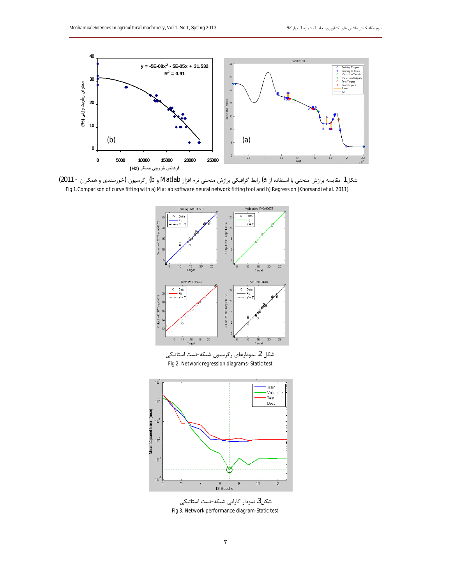

شکل1. مقایسه برازش منحنی با استفاده از a) رابط گرافیکی برازش منحنی نرم افزار Matlab و b) رگرسیون (خورسندی و همکاران - 2011) Fig 1. Comparison of curve fitting with a) Matlab software neural network fitting tool and b) Regression (Khorsandi et al. 2011)



شكل3. نمودار كارايي شبكه-تست استاتيكي Fig 3. Network performance diagram-Static test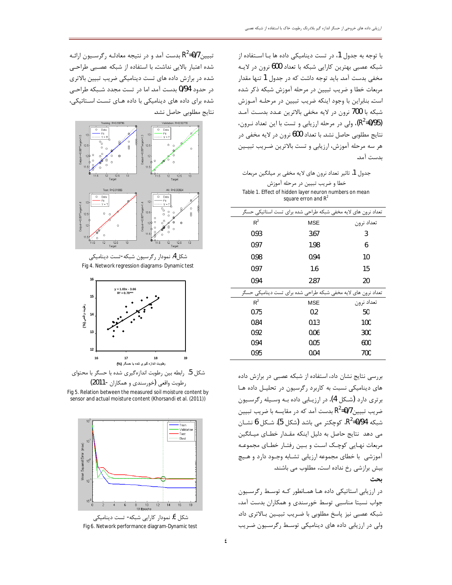با توجه به جدول 1، در تست دینامیکی داده ها بـا اسـتفاده از شبكه عصبي بهترين كارايي شبكه با تعداد 600 نرون در لايـه مخفی بدست آمد. باید توجه داشت که در جدول 1 تنها مقدار مربعات خطا و ضریب تبیین در مرحله آموزش شبکه ذکر شده است. بنابراین با وجود اینکه ضریب تبیین در مرحلـه آمـوزش شبكه با 700 نرون در لايه مخفى بالاترين عـدد بدسـت آمـد (R<sup>2</sup>=0/95)، ولی در مرحله ارزیابی و تست با این تعداد نـرون، نتايج مطلوبي حاصل نشد. با تعداد 600 نرون در لايه مخفي در هر سه مرحله آموزش، ارزيابي و تست بالاترين ضـريب تبيـين ىدست آمد.

جدول 1. تاثير تعداد نرون هاي لايه مخفى بر ميانگين مربعات خطا و ضریب تبیین در مرحله آموزش Table 1. Effect of hidden layer neuron numbers on mean square erron and  $R^2$ 

| تعداد نرون های لایه مخفی شبکه طراحی شده برای تست استاتیکی حسگر |            |            |
|----------------------------------------------------------------|------------|------------|
| $R^2$                                                          | <b>MSE</b> | تعداد نرون |
| 0.93                                                           | 3.67       | 3          |
| 0.97                                                           | 1.98       | 6          |
| 0.98                                                           | 0.94       | 10         |
| 0.97                                                           | 1.6        | 15         |
| 0.94                                                           | 2.87       | 20         |
| تعداد نرون های لایه مخفی شبکه طراحی شده برای تست دینامیکی حسگر |            |            |
| $R^2$                                                          | <b>MSE</b> | تعداد نرون |
| 0.75                                                           | 0.2        | 50         |
| 0.84                                                           | 0.13       | 100        |
| 0.92                                                           | 0.06       | 300        |
| 0.94                                                           | 0.05       | 600        |
| 0.95                                                           | 0.04       | 700        |

بررسی نتایج نشان داد، استفاده از شبکه عصبی در برازش داده های دینامیکی نسبت به کاربرد رگرسیون در تحلیـل داده هـا برتري دارد (شكل 4). در ارزيـابي داده بـه وسـيله رگرسـيون ضریب تبیین $\rm R^2$ =0/7 بدست آمد که در مقایسه با ضریب تبیین شبکه 94/0=R2، کوچکتر می باشد (شکل 5). شــکل 6 نشــان می دهد نتایج حاصل به دلیل اینکه مقدار خطای میـانگین مربعات نهـايي كوچـك اسـت و بـين رفتـار خطـاي مجموعـه .<br>آموزشی با خطای مجموعه ارزیابی تشـابه وجـود دارد و هـیچ بیش برازشی رخ نداده است، مطلوب می باشند. ىجث

در ارزیابی استاتیکی داده ها همانطور که توسط رگرسیون جواب نسبتا مناسبی توسط خورسندی و همکاران بدست آمد، شبكه عصبي نيز پاسخ مطلوبي با ضـريب تبيـين بـالاترى داد. ولی در ارزیابی داده های دینامیکی توسط رگرسیون ضریب

تبیین R2=0/7 بدست آمد و در نتیجه معادلـه رگرسـیون ارائـه شده اعتبار بالایی نداشت. با استفاده از شبکه عصبی طراحی شده در برازش داده های تست دینامیکی ضریب تبیین بالاتری در حدود 0/94 بدست آمد. اما در تست مجدد شـبكه طراحـى شده برای داده های دینامیکی با داده هـای تسـت اسـتاتیکی، نتايج مطلوبي حاصل نشد.







شکل 5. رابطه بین رطوبت اندازهگیری شده با حسگر با محتوای

رطوبت واقعی (خورسندی و همکاران -2011) Fig 5. Relation between the measured soil moisture content by sensor and actual moisture content (Khorsandi et al. (2011))



شکل 6. نمودار کارایی شبکه- تست دینامیکی Fig 6. Network performance diagram-Dynamic test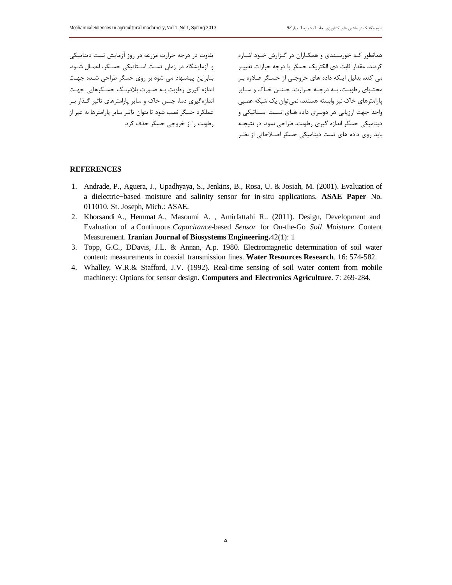تفاوت در درجه حرارت مزرعه در روز آزمایش تست دینامیکی و آزمایشگاه در زمان تست استاتیکی حسگر، اعمـال شـود. بنابراین پیشنهاد می شود بر روی حسگر طراحی شـده جهـت اندازه گیری رطوبت به صورت بلادرنگ حسگرهایی جهت اندازه گیری دما، جنس خاک و سایر پارامترهای تاثیر گذار ب عملكرد حسگر نصب شود تا بتوان تاثير ساير پارامترها به غير از رطوبت را از خروجی حسگر حذف کرد. همانطور کـه خورسـندی و همکـاران در گـزارش خـود اشـاره كردند، مقدار ثابت دى الكتريک حسگر با درجه حرارات تغييـر می کند. بدلیل اینکه داده های خروجی از حسگر عـلاوه بـر محتـوای رطوبـت، بـه درجـه حـرارت، جـنس خـاک و سـاير یارامترهای خاک نیز وابسته هستند، نمی توان یک شبکه عصبی واحد جهت ارزیابی هر دوسری داده هـای تسـت اسـتاتیکی و دینامیکی حسگر اندازه گیری رطوبت، طراحی نمود. در نتیجه باید روی داده های تست دینامیکی حسگر اصلاحاتی از نظر

#### **REFERENCES**

- 1. Andrade, P., Aguera, J., Upadhyaya, S., Jenkins, B., Rosa, U. & Josiah, M. (2001). Evaluation of a dielectric–based moisture and salinity sensor for in-situ applications. **ASAE Paper** No. 011010. St. Joseph, Mich.: ASAE.
- 2. Khorsandi A., Hemmat A., Masoumi A. , Amirfattahi R.. (2011). Design, Development and Evaluation of a Continuous *Capacitance*-based *Sensor* for On-the-Go *Soil Moisture* Content Measurement. **Iranian Journal of Biosystems Engineering.**42(1): 1
- 3. Topp, G.C., DDavis, J.L. & Annan, A.p. 1980. Electromagnetic determination of soil water content: measurements in coaxial transmission lines. **Water Resources Research**. 16: 574-582.
- 4. Whalley, W.R.& Stafford, J.V. (1992). Real-time sensing of soil water content from mobile machinery: Options for sensor design. **Computers and Electronics Agriculture**. 7: 269-284.